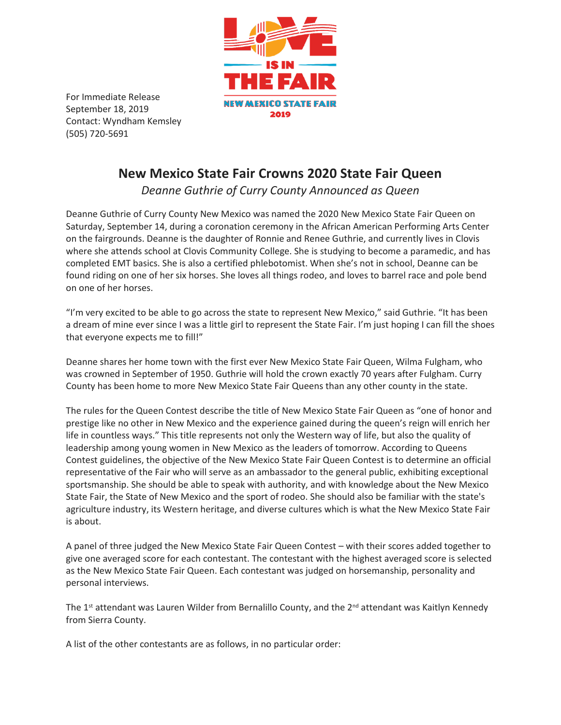

For Immediate Release September 18, 2019 Contact: Wyndham Kemsley (505) 720-5691

## **New Mexico State Fair Crowns 2020 State Fair Queen**

*Deanne Guthrie of Curry County Announced as Queen*

Deanne Guthrie of Curry County New Mexico was named the 2020 New Mexico State Fair Queen on Saturday, September 14, during a coronation ceremony in the African American Performing Arts Center on the fairgrounds. Deanne is the daughter of Ronnie and Renee Guthrie, and currently lives in Clovis where she attends school at Clovis Community College. She is studying to become a paramedic, and has completed EMT basics. She is also a certified phlebotomist. When she's not in school, Deanne can be found riding on one of her six horses. She loves all things rodeo, and loves to barrel race and pole bend on one of her horses.

"I'm very excited to be able to go across the state to represent New Mexico," said Guthrie. "It has been a dream of mine ever since I was a little girl to represent the State Fair. I'm just hoping I can fill the shoes that everyone expects me to fill!"

Deanne shares her home town with the first ever New Mexico State Fair Queen, Wilma Fulgham, who was crowned in September of 1950. Guthrie will hold the crown exactly 70 years after Fulgham. Curry County has been home to more New Mexico State Fair Queens than any other county in the state.

The rules for the Queen Contest describe the title of New Mexico State Fair Queen as "one of honor and prestige like no other in New Mexico and the experience gained during the queen's reign will enrich her life in countless ways." This title represents not only the Western way of life, but also the quality of leadership among young women in New Mexico as the leaders of tomorrow. According to Queens Contest guidelines, the objective of the New Mexico State Fair Queen Contest is to determine an official representative of the Fair who will serve as an ambassador to the general public, exhibiting exceptional sportsmanship. She should be able to speak with authority, and with knowledge about the New Mexico State Fair, the State of New Mexico and the sport of rodeo. She should also be familiar with the state's agriculture industry, its Western heritage, and diverse cultures which is what the New Mexico State Fair is about.

A panel of three judged the New Mexico State Fair Queen Contest – with their scores added together to give one averaged score for each contestant. The contestant with the highest averaged score is selected as the New Mexico State Fair Queen. Each contestant was judged on horsemanship, personality and personal interviews.

The 1<sup>st</sup> attendant was Lauren Wilder from Bernalillo County, and the 2<sup>nd</sup> attendant was Kaitlyn Kennedy from Sierra County.

A list of the other contestants are as follows, in no particular order: